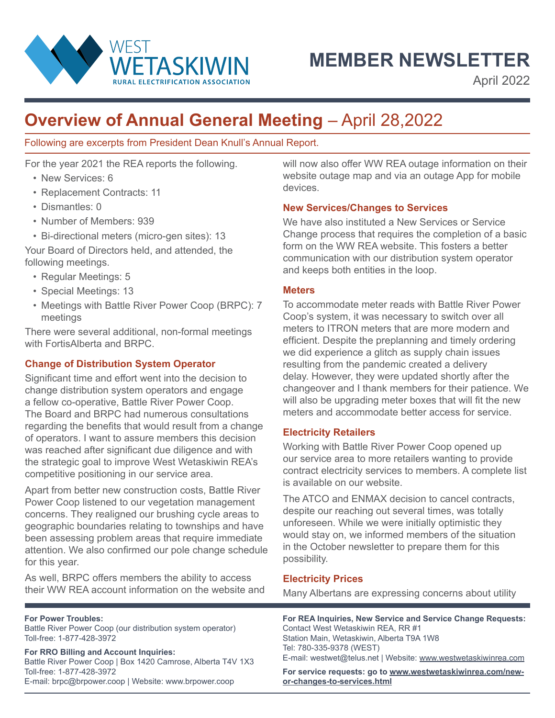

**MEMBER NEWSLETTER**

April 2022

# **Overview of Annual General Meeting** – April 28,2022

Following are excerpts from President Dean Knull's Annual Report.

For the year 2021 the REA reports the following.

- New Services: 6
- Replacement Contracts: 11
- Dismantles: 0
- Number of Members: 939
- Bi-directional meters (micro-gen sites): 13

Your Board of Directors held, and attended, the following meetings.

- Regular Meetings: 5
- Special Meetings: 13
- Meetings with Battle River Power Coop (BRPC): 7 meetings

There were several additional, non-formal meetings with FortisAlberta and BRPC.

# **Change of Distribution System Operator**

Significant time and effort went into the decision to change distribution system operators and engage a fellow co-operative, Battle River Power Coop. The Board and BRPC had numerous consultations regarding the benefits that would result from a change of operators. I want to assure members this decision was reached after significant due diligence and with the strategic goal to improve West Wetaskiwin REA's competitive positioning in our service area.

Apart from better new construction costs, Battle River Power Coop listened to our vegetation management concerns. They realigned our brushing cycle areas to geographic boundaries relating to townships and have been assessing problem areas that require immediate attention. We also confirmed our pole change schedule for this year.

As well, BRPC offers members the ability to access their WW REA account information on the website and

**For Power Troubles:** 

Battle River Power Coop (our distribution system operator) Toll-free: 1-877-428-3972

**For RRO Billing and Account Inquiries:** Battle River Power Coop | Box 1420 Camrose, Alberta T4V 1X3 Toll-free: 1-877-428-3972 E-mail: brpc@brpower.coop | Website: www.brpower.coop

will now also offer WW REA outage information on their website outage map and via an outage App for mobile devices.

## **New Services/Changes to Services**

We have also instituted a New Services or Service Change process that requires the completion of a basic form on the WW REA website. This fosters a better communication with our distribution system operator and keeps both entities in the loop.

#### **Meters**

To accommodate meter reads with Battle River Power Coop's system, it was necessary to switch over all meters to ITRON meters that are more modern and efficient. Despite the preplanning and timely ordering we did experience a glitch as supply chain issues resulting from the pandemic created a delivery delay. However, they were updated shortly after the changeover and I thank members for their patience. We will also be upgrading meter boxes that will fit the new meters and accommodate better access for service.

### **Electricity Retailers**

Working with Battle River Power Coop opened up our service area to more retailers wanting to provide contract electricity services to members. A complete list is available on our website.

The ATCO and ENMAX decision to cancel contracts, despite our reaching out several times, was totally unforeseen. While we were initially optimistic they would stay on, we informed members of the situation in the October newsletter to prepare them for this possibility.

### **Electricity Prices**

Many Albertans are expressing concerns about utility

**For REA Inquiries, New Service and Service Change Requests:** Contact West Wetaskiwin REA, RR #1 Station Main, Wetaskiwin, Alberta T9A 1W8 Tel: 780-335-9378 (WEST)

E-mail: westwet@telus.net | Website: www.westwetaskiwinrea.com

**For service requests: go to www.westwetaskiwinrea.com/newor-changes-to-services.html**